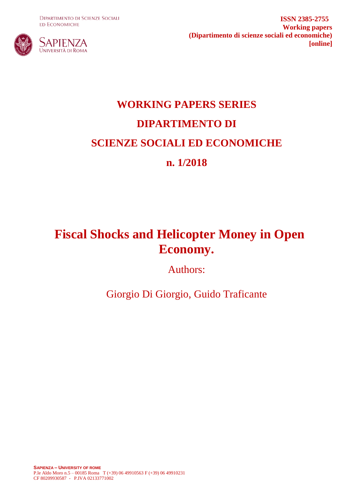**DIPARTIMENTO DI SCIENZE SOCIALI ED ECONOMICHE** 



**ISSN 2385-2755 Working papers (Dipartimento di scienze sociali ed economiche) [online]**

# **WORKING PAPERS SERIES DIPARTIMENTO DI SCIENZE SOCIALI ED ECONOMICHE n. 1/2018**

## **Fiscal Shocks and Helicopter Money in Open Economy.**

Authors:

Giorgio Di Giorgio, Guido Traficante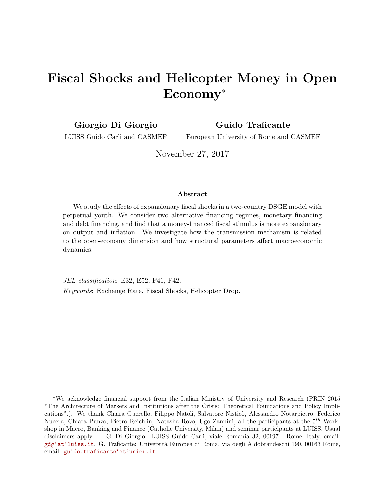## Fiscal Shocks and Helicopter Money in Open Economy<sup>∗</sup>

Giorgio Di Giorgio

Guido Traficante

LUISS Guido Carli and CASMEF

European University of Rome and CASMEF

November 27, 2017

#### Abstract

We study the effects of expansionary fiscal shocks in a two-country DSGE model with perpetual youth. We consider two alternative financing regimes, monetary financing and debt financing, and find that a money-financed fiscal stimulus is more expansionary on output and inflation. We investigate how the transmission mechanism is related to the open-economy dimension and how structural parameters affect macroeconomic dynamics.

JEL classification: E32, E52, F41, F42. Keywords: Exchange Rate, Fiscal Shocks, Helicopter Drop.

<sup>∗</sup>We acknowledge financial support from the Italian Ministry of University and Research (PRIN 2015 "The Architecture of Markets and Institutions after the Crisis: Theoretical Foundations and Policy Implications".). We thank Chiara Guerello, Filippo Natoli, Salvatore Nisticò, Alessandro Notarpietro, Federico Nucera, Chiara Punzo, Pietro Reichlin, Natasha Rovo, Ugo Zannini, all the participants at the 5th Workshop in Macro, Banking and Finance (Catholic University, Milan) and seminar participants at LUISS. Usual disclaimers apply. G. Di Giorgio: LUISS Guido Carli, viale Romania 32, 00197 - Rome, Italy, email: [gdg'at'luiss.it](mailto:gdg@luiss.it). G. Traficante: Universit`a Europea di Roma, via degli Aldobrandeschi 190, 00163 Rome, email: [guido.traficante'at'unier.it](mailto:guido.traficante@unier.it)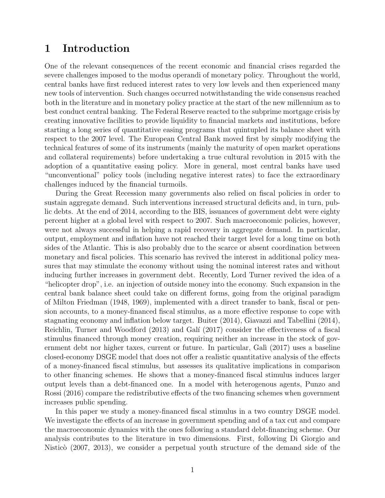### 1 Introduction

One of the relevant consequences of the recent economic and financial crises regarded the severe challenges imposed to the modus operandi of monetary policy. Throughout the world, central banks have first reduced interest rates to very low levels and then experienced many new tools of intervention. Such changes occurred notwithstanding the wide consensus reached both in the literature and in monetary policy practice at the start of the new millennium as to best conduct central banking. The Federal Reserve reacted to the subprime mortgage crisis by creating innovative facilities to provide liquidity to financial markets and institutions, before starting a long series of quantitative easing programs that quintupled its balance sheet with respect to the 2007 level. The European Central Bank moved first by simply modifying the technical features of some of its instruments (mainly the maturity of open market operations and collateral requirements) before undertaking a true cultural revolution in 2015 with the adoption of a quantitative easing policy. More in general, most central banks have used "unconventional" policy tools (including negative interest rates) to face the extraordinary challenges induced by the financial turmoils.

During the Great Recession many governments also relied on fiscal policies in order to sustain aggregate demand. Such interventions increased structural deficits and, in turn, public debts. At the end of 2014, according to the BIS, issuances of government debt were eighty percent higher at a global level with respect to 2007. Such macroeconomic policies, however, were not always successful in helping a rapid recovery in aggregate demand. In particular, output, employment and inflation have not reached their target level for a long time on both sides of the Atlantic. This is also probably due to the scarce or absent coordination between monetary and fiscal policies. This scenario has revived the interest in additional policy measures that may stimulate the economy without using the nominal interest rates and without inducing further increases in government debt. Recently, Lord Turner revived the idea of a "helicopter drop", i.e. an injection of outside money into the economy. Such expansion in the central bank balance sheet could take on different forms, going from the original paradigm of Milton Friedman (1948, 1969), implemented with a direct transfer to bank, fiscal or pension accounts, to a money-financed fiscal stimulus, as a more effective response to cope with stagnating economy and inflation below target. Buiter (2014), Giavazzi and Tabellini (2014), Reichlin, Turner and Woodford (2013) and Galí (2017) consider the effectiveness of a fiscal stimulus financed through money creation, requiring neither an increase in the stock of government debt nor higher taxes, current or future. In particular, Galì (2017) uses a baseline closed-economy DSGE model that does not offer a realistic quantitative analysis of the effects of a money-financed fiscal stimulus, but assesses its qualitative implications in comparison to other financing schemes. He shows that a money-financed fiscal stimulus induces larger output levels than a debt-financed one. In a model with heterogenous agents, Punzo and Rossi (2016) compare the redistributive effects of the two financing schemes when government increases public spending.

In this paper we study a money-financed fiscal stimulus in a two country DSGE model. We investigate the effects of an increase in government spending and of a tax cut and compare the macroeconomic dynamics with the ones following a standard debt-financing scheme. Our analysis contributes to the literature in two dimensions. First, following Di Giorgio and Nisticò  $(2007, 2013)$ , we consider a perpetual youth structure of the demand side of the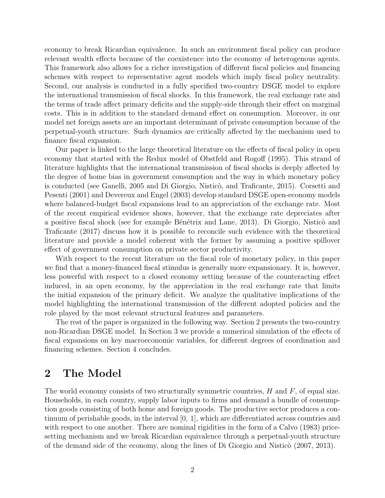economy to break Ricardian equivalence. In such an environment fiscal policy can produce relevant wealth effects because of the coexistence into the economy of heterogenous agents. This framework also allows for a richer investigation of different fiscal policies and financing schemes with respect to representative agent models which imply fiscal policy neutrality. Second, our analysis is conducted in a fully specified two-country DSGE model to explore the international transmission of fiscal shocks. In this framework, the real exchange rate and the terms of trade affect primary deficits and the supply-side through their effect on marginal costs. This is in addition to the standard demand effect on consumption. Moreover, in our model net foreign assets are an important determinant of private consumption because of the perpetual-youth structure. Such dynamics are critically affected by the mechanism used to finance fiscal expansion.

Our paper is linked to the large theoretical literature on the effects of fiscal policy in open economy that started with the Redux model of Obstfeld and Rogoff (1995). This strand of literature highlights that the international transmission of fiscal shocks is deeply affected by the degree of home bias in government consumption and the way in which monetary policy is conducted (see Ganelli, 2005 and Di Giorgio, Nisticò, and Traficante, 2015). Corsetti and Pesenti (2001) and Devereux and Engel (2003) develop standard DSGE open-economy models where balanced-budget fiscal expansions lead to an appreciation of the exchange rate. Most of the recent empirical evidence shows, however, that the exchange rate depreciates after a positive fiscal shock (see for example Bénétrix and Lane, 2013). Di Giorgio, Nisticò and Traficante (2017) discuss how it is possible to reconcile such evidence with the theoretical literature and provide a model coherent with the former by assuming a positive spillover effect of government consumption on private sector productivity.

With respect to the recent literature on the fiscal role of monetary policy, in this paper we find that a money-financed fiscal stimulus is generally more expansionary. It is, however, less powerful with respect to a closed economy setting because of the counteracting effect induced, in an open economy, by the appreciation in the real exchange rate that limits the initial expansion of the primary deficit. We analyze the qualitative implications of the model highlighting the international transmission of the different adopted policies and the role played by the most relevant structural features and parameters.

The rest of the paper is organized in the following way. Section 2 presents the two-country non-Ricardian DSGE model. In Section 3 we provide a numerical simulation of the effects of fiscal expansions on key macroeconomic variables, for different degrees of coordination and financing schemes. Section 4 concludes.

## 2 The Model

The world economy consists of two structurally symmetric countries,  $H$  and  $F$ , of equal size. Households, in each country, supply labor inputs to firms and demand a bundle of consumption goods consisting of both home and foreign goods. The productive sector produces a continuum of perishable goods, in the interval [0, 1], which are differentiated across countries and with respect to one another. There are nominal rigidities in the form of a Calvo (1983) pricesetting mechanism and we break Ricardian equivalence through a perpetual-youth structure of the demand side of the economy, along the lines of Di Giorgio and Nisticò (2007, 2013).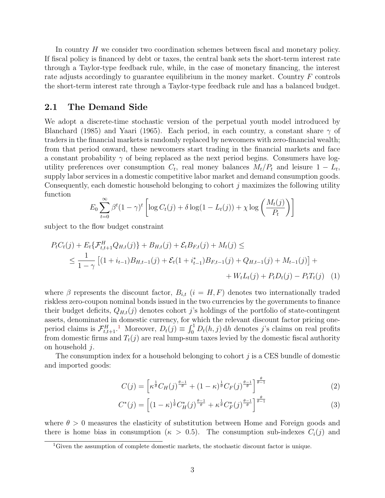In country H we consider two coordination schemes between fiscal and monetary policy. If fiscal policy is financed by debt or taxes, the central bank sets the short-term interest rate through a Taylor-type feedback rule, while, in the case of monetary financing, the interest rate adjusts accordingly to guarantee equilibrium in the money market. Country F controls the short-term interest rate through a Taylor-type feedback rule and has a balanced budget.

#### 2.1 The Demand Side

We adopt a discrete-time stochastic version of the perpetual youth model introduced by Blanchard (1985) and Yaari (1965). Each period, in each country, a constant share  $\gamma$  of traders in the financial markets is randomly replaced by newcomers with zero-financial wealth; from that period onward, these newcomers start trading in the financial markets and face a constant probability  $\gamma$  of being replaced as the next period begins. Consumers have logutility preferences over consumption  $C_t$ , real money balances  $M_t/P_t$  and leisure  $1 - L_t$ , supply labor services in a domestic competitive labor market and demand consumption goods. Consequently, each domestic household belonging to cohort j maximizes the following utility function

$$
E_0 \sum_{t=0}^{\infty} \beta^t (1 - \gamma)^t \left[ \log C_t(j) + \delta \log(1 - L_t(j)) + \chi \log \left( \frac{M_t(j)}{P_t} \right) \right]
$$

subject to the flow budget constraint

$$
P_{t}C_{t}(j) + E_{t}\{\mathcal{F}_{t,t+1}^{H}Q_{H,t}(j)\} + B_{H,t}(j) + \mathcal{E}_{t}B_{F,t}(j) + M_{t}(j) \le
$$
  
 
$$
\leq \frac{1}{1-\gamma} \left[ (1+i_{t-1})B_{H,t-1}(j) + \mathcal{E}_{t}(1+i_{t-1}^{*})B_{F,t-1}(j) + Q_{H,t-1}(j) + M_{t-1}(j) \right] + W_{t}L_{t}(j) + P_{t}D_{t}(j) - P_{t}T_{t}(j) \quad (1)
$$

where  $\beta$  represents the discount factor,  $B_{i,t}$  ( $i = H, F$ ) denotes two internationally traded riskless zero-coupon nominal bonds issued in the two currencies by the governments to finance their budget deficits,  $Q_{H,t}(j)$  denotes cohort j's holdings of the portfolio of state-contingent assets, denominated in domestic currency, for which the relevant discount factor pricing oneperiod claims is  $\mathcal{F}_{t,t+1}^H$  $\mathcal{F}_{t,t+1}^H$  $\mathcal{F}_{t,t+1}^H$ .<sup>1</sup> Moreover,  $D_t(j) \equiv \int_0^1 D_t(h,j) dh$  denotes j's claims on real profits from domestic firms and  $T_t(j)$  are real lump-sum taxes levied by the domestic fiscal authority on household j.

The consumption index for a household belonging to cohort  $j$  is a CES bundle of domestic and imported goods:

$$
C(j) = \left[ \kappa^{\frac{1}{\theta}} C_H(j)^{\frac{\theta - 1}{\theta}} + (1 - \kappa)^{\frac{1}{\theta}} C_F(j)^{\frac{\theta - 1}{\theta}} \right]^{\frac{\theta}{\theta - 1}}
$$
(2)

$$
C^*(j) = \left[ (1 - \kappa)^{\frac{1}{\theta}} C_H^*(j)^{\frac{\theta - 1}{\theta}} + \kappa^{\frac{1}{\theta}} C_F^*(j)^{\frac{\theta - 1}{\theta}} \right]^{\frac{\theta}{\theta - 1}}
$$
(3)

where  $\theta > 0$  measures the elasticity of substitution between Home and Foreign goods and there is home bias in consumption ( $\kappa > 0.5$ ). The consumption sub-indexes  $C_i(j)$  and

<span id="page-4-0"></span><sup>&</sup>lt;sup>1</sup>Given the assumption of complete domestic markets, the stochastic discount factor is unique.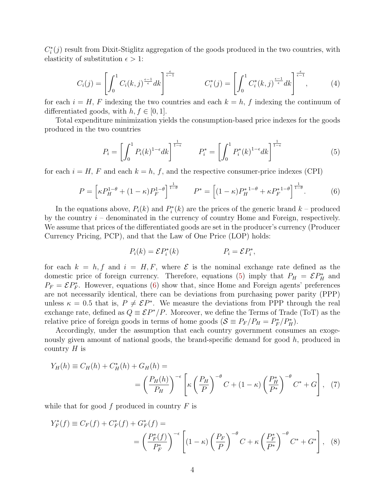$C_i^*(j)$  result from Dixit-Stiglitz aggregation of the goods produced in the two countries, with elasticity of substitution  $\epsilon > 1$ :

$$
C_i(j) = \left[ \int_0^1 C_i(k,j)^{\frac{\epsilon-1}{\epsilon}} dk \right]^{\frac{\epsilon}{\epsilon-1}} \qquad C_i^*(j) = \left[ \int_0^1 C_i^*(k,j)^{\frac{\epsilon-1}{\epsilon}} dk \right]^{\frac{\epsilon}{\epsilon-1}}, \qquad (4)
$$

for each  $i = H, F$  indexing the two countries and each  $k = h, f$  indexing the continuum of differentiated goods, with  $h, f \in [0, 1]$ .

Total expenditure minimization yields the consumption-based price indexes for the goods produced in the two countries

<span id="page-5-0"></span>
$$
P_i = \left[\int_0^1 P_i(k)^{1-\epsilon} dk\right]^{\frac{1}{1-\epsilon}} \qquad P_i^* = \left[\int_0^1 P_i^*(k)^{1-\epsilon} dk\right]^{\frac{1}{1-\epsilon}}
$$
(5)

for each  $i = H$ , F and each  $k = h$ , f, and the respective consumer-price indexes (CPI)

<span id="page-5-1"></span>
$$
P = \left[ \kappa P_H^{1-\theta} + (1-\kappa) P_F^{1-\theta} \right]^{\frac{1}{1-\theta}} \qquad P^* = \left[ (1-\kappa) P_H^{*1-\theta} + \kappa P_F^{*1-\theta} \right]^{\frac{1}{1-\theta}}. \tag{6}
$$

In the equations above,  $P_i(k)$  and  $P_i^*(k)$  are the prices of the generic brand  $k$  – produced by the country  $i$  – denominated in the currency of country Home and Foreign, respectively. We assume that prices of the differentiated goods are set in the producer's currency (Producer Currency Pricing, PCP), and that the Law of One Price (LOP) holds:

<span id="page-5-3"></span><span id="page-5-2"></span>
$$
P_i(k) = \mathcal{E}P_i^*(k) \qquad P_i = \mathcal{E}P_i^*,
$$

for each  $k = h, f$  and  $i = H, F$ , where  $\mathcal E$  is the nominal exchange rate defined as the domestic price of foreign currency. Therefore, equations [\(5\)](#page-5-0) imply that  $P_H = \mathcal{E} P_H^*$  and  $P_F = \mathcal{E} P_F^*$ . However, equations [\(6\)](#page-5-1) show that, since Home and Foreign agents' preferences are not necessarily identical, there can be deviations from purchasing power parity (PPP) unless  $\kappa = 0.5$  that is,  $P \neq \mathcal{E}P^*$ . We measure the deviations from PPP through the real exchange rate, defined as  $Q = \mathcal{E}P^*/P$ . Moreover, we define the Terms of Trade (ToT) as the relative price of foreign goods in terms of home goods  $(S \equiv P_F/P_H = P_F^*/P_H^*)$ .

Accordingly, under the assumption that each country government consumes an exogenously given amount of national goods, the brand-specific demand for good h, produced in country  $H$  is

$$
Y_H(h) \equiv C_H(h) + C_H^*(h) + G_H(h) =
$$
  
=  $\left(\frac{P_H(h)}{P_H}\right)^{-\epsilon} \left[\kappa \left(\frac{P_H}{P}\right)^{-\theta} C + (1 - \kappa) \left(\frac{P_H^*}{P^*}\right)^{-\theta} C^* + G\right],$  (7)

while that for good f produced in country  $F$  is

$$
Y_F^*(f) \equiv C_F(f) + C_F^*(f) + G_F^*(f) =
$$
  
=  $\left(\frac{P_F^*(f)}{P_F^*}\right)^{-\epsilon} \left[ (1 - \kappa) \left(\frac{P_F}{P}\right)^{-\theta} C + \kappa \left(\frac{P_F^*}{P^*}\right)^{-\theta} C^* + G^* \right],$  (8)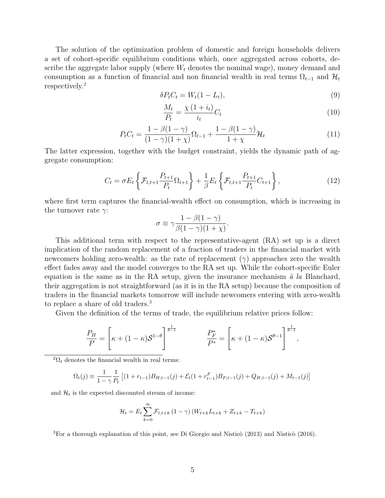The solution of the optimization problem of domestic and foreign households delivers a set of cohort-specific equilibrium conditions which, once aggregated across cohorts, describe the aggregate labor supply (where  $W_t$  denotes the nominal wage), money demand and consumption as a function of financial and non financial wealth in real terms  $\Omega_{t-1}$  and  $\mathcal{H}_t$ respectively.[2](#page-6-0)

$$
\delta P_t C_t = W_t (1 - L_t),\tag{9}
$$

<span id="page-6-2"></span>
$$
\frac{M_t}{P_t} = \frac{\chi\left(1+i_t\right)}{i_t} C_t \tag{10}
$$

,

$$
P_t C_t = \frac{1 - \beta(1 - \gamma)}{(1 - \gamma)(1 + \chi)} \Omega_{t-1} + \frac{1 - \beta(1 - \gamma)}{1 + \chi} \mathcal{H}_t
$$
\n(11)

The latter expression, together with the budget constraint, yields the dynamic path of aggregate consumption:

$$
C_t = \sigma E_t \left\{ \mathcal{F}_{t,t+1} \frac{P_{t+1}}{P_t} \Omega_{t+1} \right\} + \frac{1}{\beta} E_t \left\{ \mathcal{F}_{t,t+1} \frac{P_{t+1}}{P_t} C_{t+1} \right\},\tag{12}
$$

where first term captures the financial-wealth effect on consumption, which is increasing in the turnover rate  $\gamma$ :

$$
\sigma \equiv \gamma \frac{1 - \beta(1 - \gamma)}{\beta(1 - \gamma)(1 + \chi)}.
$$

This additional term with respect to the representative-agent (RA) set up is a direct implication of the random replacement of a fraction of traders in the financial market with newcomers holding zero-wealth: as the rate of replacement  $(\gamma)$  approaches zero the wealth effect fades away and the model converges to the RA set up. While the cohort-specific Euler equation is the same as in the RA setup, given the insurance mechanism  $\dot{a}$  la Blanchard, their aggregation is not straightforward (as it is in the RA setup) because the composition of traders in the financial markets tomorrow will include newcomers entering with zero-wealth to replace a share of old traders.<sup>[3](#page-6-1)</sup>

Given the definition of the terms of trade, the equilibrium relative prices follow:

$$
\frac{P_H}{P} = \left[\kappa + (1 - \kappa)\mathcal{S}^{1-\theta}\right]^{\frac{1}{\theta-1}} \qquad \qquad \frac{P_F^*}{P^*} = \left[\kappa + (1 - \kappa)\mathcal{S}^{\theta-1}\right]^{\frac{1}{\theta-1}}
$$

<span id="page-6-0"></span> ${}^{2}\Omega_{t}$  denotes the financial wealth in real terms:

$$
\Omega_t(j) \equiv \frac{1}{1-\gamma} \frac{1}{P_t} \left[ (1+r_{t-1})B_{H,t-1}(j) + \mathcal{E}_t(1+r_{t-1}^F)B_{F,t-1}(j) + Q_{H,t-1}(j) + M_{t-1}(j) \right]
$$

and  $\mathcal{H}_t$  is the expected discounted stream of income:

$$
\mathcal{H}_{t} = E_{t} \sum_{k=0}^{\infty} \mathcal{F}_{t,t+k} (1 - \gamma) (W_{t+k} L_{t+k} + Z_{t+k} - T_{t+k})
$$

<span id="page-6-1"></span> ${}^{3}$ For a thorough explanation of this point, see Di Giorgio and Nisticò (2013) and Nisticò (2016).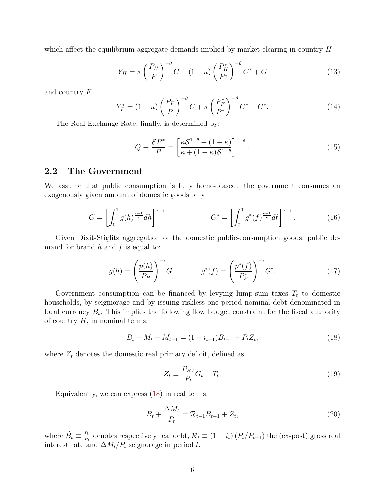which affect the equilibrium aggregate demands implied by market clearing in country  $H$ 

$$
Y_H = \kappa \left(\frac{P_H}{P}\right)^{-\theta} C + (1 - \kappa) \left(\frac{P_H^*}{P^*}\right)^{-\theta} C^* + G \tag{13}
$$

and country F

$$
Y_F^* = (1 - \kappa) \left(\frac{P_F}{P}\right)^{-\theta} C + \kappa \left(\frac{P_F^*}{P^*}\right)^{-\theta} C^* + G^*.
$$
 (14)

The Real Exchange Rate, finally, is determined by:

$$
Q \equiv \frac{\mathcal{E}P^*}{P} = \left[\frac{\kappa \mathcal{S}^{1-\theta} + (1-\kappa)}{\kappa + (1-\kappa)\mathcal{S}^{1-\theta}}\right]^{\frac{1}{1-\theta}}.\tag{15}
$$

#### 2.2 The Government

We assume that public consumption is fully home-biased: the government consumes an exogenously given amount of domestic goods only

$$
G = \left[ \int_0^1 g(h)^{\frac{\epsilon - 1}{\epsilon}} dh \right]^{\frac{\epsilon}{\epsilon - 1}} \qquad G^* = \left[ \int_0^1 g^*(f)^{\frac{\epsilon - 1}{\epsilon}} df \right]^{\frac{\epsilon}{\epsilon - 1}}. \tag{16}
$$

Given Dixit-Stiglitz aggregation of the domestic public-consumption goods, public demand for brand  $h$  and  $f$  is equal to:

$$
g(h) = \left(\frac{p(h)}{P_H}\right)^{-\epsilon} G \qquad \qquad g^*(f) = \left(\frac{p^*(f)}{P_F^*}\right)^{-\epsilon} G^*.
$$
 (17)

Government consumption can be financed by levying lump-sum taxes  $T_t$  to domestic households, by seigniorage and by issuing riskless one period nominal debt denominated in local currency  $B_t$ . This implies the following flow budget constraint for the fiscal authority of country  $H$ , in nominal terms:

<span id="page-7-0"></span>
$$
B_t + M_t - M_{t-1} = (1 + i_{t-1})B_{t-1} + P_t Z_t, \tag{18}
$$

where  $Z_t$  denotes the domestic real primary deficit, defined as

$$
Z_t \equiv \frac{P_{H,t}}{P_t} G_t - T_t. \tag{19}
$$

Equivalently, we can express [\(18\)](#page-7-0) in real terms:

$$
\tilde{B}_t + \frac{\Delta M_t}{P_t} = \mathcal{R}_{t-1}\tilde{B}_{t-1} + Z_t, \qquad (20)
$$

where  $\tilde{B}_t \equiv \frac{B_t}{P_t}$  $\frac{B_t}{P_t}$  denotes respectively real debt,  $\mathcal{R}_t \equiv (1 + i_t) (P_t/P_{t+1})$  the (ex-post) gross real interest rate and  $\Delta M_t/P_t$  seignorage in period t.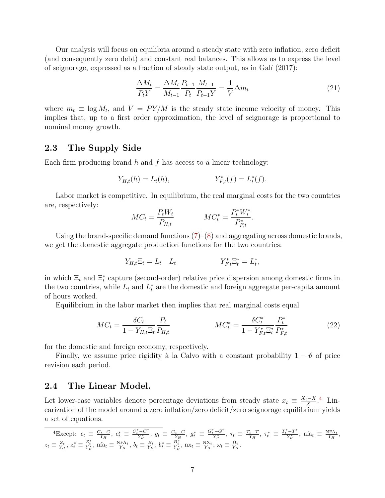Our analysis will focus on equilibria around a steady state with zero inflation, zero deficit (and consequently zero debt) and constant real balances. This allows us to express the level of seignorage, expressed as a fraction of steady state output, as in Galí  $(2017)$ :

$$
\frac{\Delta M_t}{P_t Y} = \frac{\Delta M_t}{M_{t-1}} \frac{P_{t-1}}{P_t} \frac{M_{t-1}}{P_{t-1} Y} = \frac{1}{V} \Delta m_t
$$
\n(21)

where  $m_t \equiv \log M_t$ , and  $V = PY/M$  is the steady state income velocity of money. This implies that, up to a first order approximation, the level of seignorage is proportional to nominal money growth.

#### 2.3 The Supply Side

Each firm producing brand  $h$  and  $f$  has access to a linear technology:

$$
Y_{H,t}(h) = L_t(h), \t Y_{F,t}^*(f) = L_t^*(f).
$$

Labor market is competitive. In equilibrium, the real marginal costs for the two countries are, respectively:

$$
MC_t = \frac{P_t W_t}{P_{H,t}} \qquad \qquad MC_t^* = \frac{P_t^* W_t^*}{P_{F,t}^*}.
$$

Using the brand-specific demand functions  $(7)-(8)$  $(7)-(8)$  $(7)-(8)$  and aggregating across domestic brands, we get the domestic aggregate production functions for the two countries:

$$
Y_{H,t}\Xi_t = L_t \quad L_t \qquad Y_{F,t}^*\Xi_t^* = L_t^*,
$$

in which  $\Xi_t$  and  $\Xi_t^*$  capture (second-order) relative price dispersion among domestic firms in the two countries, while  $L_t$  and  $L_t^*$  are the domestic and foreign aggregate per-capita amount of hours worked.

Equilibrium in the labor market then implies that real marginal costs equal

$$
MC_t = \frac{\delta C_t}{1 - Y_{H,t} \Xi_t} \frac{P_t}{P_{H,t}} \qquad \qquad MC_t^* = \frac{\delta C_t^*}{1 - Y_{F,t}^* \Xi_t^*} \frac{P_t^*}{P_{F,t}^*}
$$
(22)

for the domestic and foreign economy, respectively.

Finally, we assume price rigidity à la Calvo with a constant probability  $1 - \vartheta$  of price revision each period.

#### 2.4 The Linear Model.

Let lower-case variables denote percentage deviations from steady state  $x_t \equiv \frac{X_t - X_t}{X}$  $\frac{1-X}{X}$ <sup>[4](#page-8-0)</sup> Linearization of the model around a zero inflation/zero deficit/zero seignorage equilibrium yields a set of equations.

<span id="page-8-0"></span>
$$
{}^{4}\text{Except: } c_{t} \equiv \frac{C_{t}-C}{Y_{H}}, c_{t}^{*} \equiv \frac{C_{t}^{*}-C^{*}}{Y_{F}^{*}}, g_{t} \equiv \frac{G_{t}-G}{Y_{H}}, g_{t}^{*} \equiv \frac{G_{t}-G^{*}}{Y_{F}^{*}}, \tau_{t} \equiv \frac{T_{t}-T}{Y_{H}}, \tau_{t}^{*} \equiv \frac{T_{t}^{*}-T^{*}}{Y_{F}^{*}}, \text{ nfa}_{t} \equiv \frac{NFA_{t}}{Y_{H}},
$$
  

$$
z_{t} \equiv \frac{Z_{t}}{Y_{H}}, z_{t}^{*} \equiv \frac{Z_{t}^{*}}{Y_{F}^{*}}, \text{ nfa}_{t} \equiv \frac{NFA_{t}}{Y_{H}}, b_{t} \equiv \frac{B_{t}}{Y_{H}}, b_{t}^{*} \equiv \frac{B_{t}^{*}}{Y_{F}^{*}}, \text{ nxa}_{t} \equiv \frac{N}{Y_{H}}, \omega_{t} \equiv \frac{\Omega_{t}}{Y_{H}}.
$$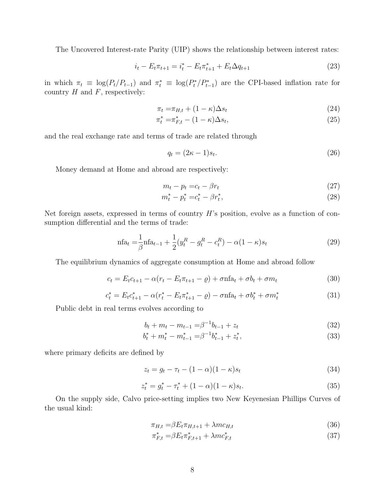The Uncovered Interest-rate Parity (UIP) shows the relationship between interest rates:

$$
i_t - E_t \pi_{t+1} = i_t^* - E_t \pi_{t+1}^* + E_t \Delta q_{t+1}
$$
\n(23)

in which  $\pi_t \equiv \log(P_t/P_{t-1})$  and  $\pi_t^* \equiv \log(P_t^*/P_{t-1}^*)$  are the CPI-based inflation rate for country  $H$  and  $F$ , respectively:

$$
\pi_t = \pi_{H,t} + (1 - \kappa)\Delta s_t \tag{24}
$$

$$
\pi_t^* = \pi_{F,t}^* - (1 - \kappa)\Delta s_t,\tag{25}
$$

and the real exchange rate and terms of trade are related through

$$
q_t = (2\kappa - 1)s_t. \tag{26}
$$

Money demand at Home and abroad are respectively:

$$
m_t - p_t = c_t - \beta r_t \tag{27}
$$

$$
m_t^* - p_t^* = c_t^* - \beta r_t^*,\tag{28}
$$

Net foreign assets, expressed in terms of country  $H$ 's position, evolve as a function of consumption differential and the terms of trade:

$$
\text{nfa}_t = \frac{1}{\beta} \text{nfa}_{t-1} + \frac{1}{2} (y_t^R - g_t^R - c_t^R) - \alpha (1 - \kappa) s_t \tag{29}
$$

The equilibrium dynamics of aggregate consumption at Home and abroad follow

$$
c_t = E_t c_{t+1} - \alpha (r_t - E_t \pi_{t+1} - \varrho) + \sigma n \mathbf{fa}_t + \sigma b_t + \sigma m_t \tag{30}
$$

$$
c_t^* = E_t c_{t+1}^* - \alpha (r_t^* - E_t \pi_{t+1}^* - \varrho) - \sigma n \mathbf{f} a_t + \sigma b_t^* + \sigma m_t^* \tag{31}
$$

Public debt in real terms evolves according to

$$
b_t + m_t - m_{t-1} = \beta^{-1} b_{t-1} + z_t \tag{32}
$$

$$
b_t^* + m_t^* - m_{t-1}^* = \beta^{-1} b_{t-1}^* + z_t^*,
$$
\n(33)

where primary deficits are defined by

<span id="page-9-0"></span>
$$
z_t = g_t - \tau_t - (1 - \alpha)(1 - \kappa)s_t \tag{34}
$$

$$
z_t^* = g_t^* - \tau_t^* + (1 - \alpha)(1 - \kappa)s_t.
$$
\n(35)

On the supply side, Calvo price-setting implies two New Keyenesian Phillips Curves of the usual kind:

$$
\pi_{H,t} = \beta E_t \pi_{H,t+1} + \lambda m c_{H,t} \tag{36}
$$

$$
\pi_{F,t}^* = \beta E_t \pi_{F,t+1}^* + \lambda m c_{F,t}^* \tag{37}
$$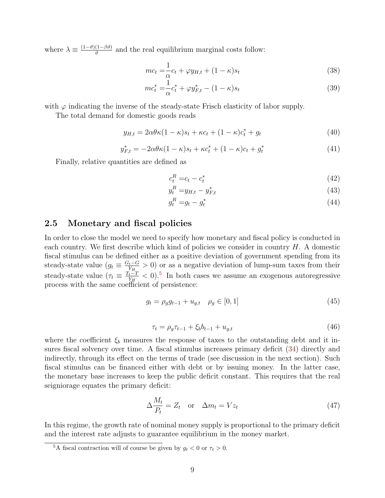where  $\lambda \equiv \frac{(1-\vartheta)(1-\beta\vartheta)}{2\vartheta}$  $\frac{(1-\beta\vartheta)}{\vartheta}$  and the real equilibrium marginal costs follow:

$$
mc_t = \frac{1}{\alpha}c_t + \varphi y_{H,t} + (1 - \kappa)s_t
$$
\n(38)

$$
mc_t^* = \frac{1}{\alpha}c_t^* + \varphi y_{F,t}^* - (1 - \kappa)s_t
$$
\n(39)

with  $\varphi$  indicating the inverse of the steady-state Frisch elasticity of labor supply.

The total demand for domestic goods reads

$$
y_{H,t} = 2\alpha\theta\kappa(1-\kappa)s_t + \kappa c_t + (1-\kappa)c_t^* + g_t \tag{40}
$$

$$
y_{F,t}^{*} = -2\alpha\theta\kappa(1-\kappa)s_{t} + \kappa c_{t}^{*} + (1-\kappa)c_{t} + g_{t}^{*}
$$
\n(41)

Finally, relative quantities are defined as

$$
c_t^R = c_t - c_t^* \tag{42}
$$

$$
y_t^R = y_{H,t} - y_{F,t}^* \tag{43}
$$

$$
g_t^R = g_t - g_t^* \tag{44}
$$

#### 2.5 Monetary and fiscal policies

In order to close the model we need to specify how monetary and fiscal policy is conducted in each country. We first describe which kind of policies we consider in country  $H$ . A domestic fiscal stimulus can be defined either as a positive deviation of government spending from its steady-state value  $(g_t \equiv \frac{G_t-G_t}{Y_H})$  $\frac{Y_t - G}{Y_{H}} > 0$  or as a negative deviation of lump-sum taxes from their steady-state value  $(\tau_t \equiv \frac{T_t - T_t}{Y_H})$  $\frac{Y_t-T}{Y_H} < 0$ .<sup>[5](#page-10-0)</sup> In both cases we assume an exogenous autoregressive process with the same coefficient of persistence:

$$
g_t = \rho_g g_{t-1} + u_{g,t} \quad \rho_g \in [0,1]
$$
\n(45)

<span id="page-10-1"></span>
$$
\tau_t = \rho_g \tau_{t-1} + \xi_b b_{t-1} + u_{g,t} \tag{46}
$$

where the coefficient  $\xi_b$  measures the response of taxes to the outstanding debt and it insures fiscal solvency over time. A fiscal stimulus increases primary deficit [\(34\)](#page-9-0) directly and indirectly, through its effect on the terms of trade (see discussion in the next section). Such fiscal stimulus can be financed either with debt or by issuing money. In the latter case, the monetary base increases to keep the public deficit constant. This requires that the real seigniorage equates the primary deficit:

$$
\Delta \frac{M_t}{P_t} = Z_t \quad \text{or} \quad \Delta m_t = V z_t \tag{47}
$$

In this regime, the growth rate of nominal money supply is proportional to the primary deficit and the interest rate adjusts to guarantee equilibrium in the money market.

<span id="page-10-0"></span><sup>&</sup>lt;sup>5</sup>A fiscal contraction will of course be given by  $g_t < 0$  or  $\tau_t > 0$ .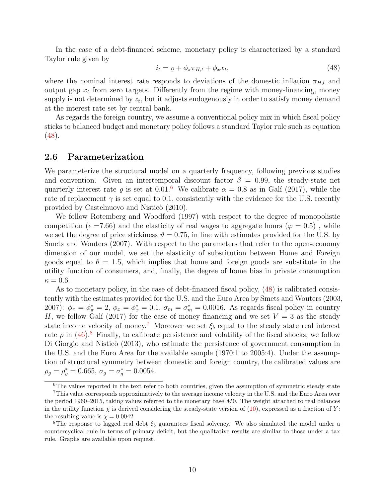In the case of a debt-financed scheme, monetary policy is characterized by a standard Taylor rule given by

<span id="page-11-0"></span>
$$
i_t = \varrho + \phi_\pi \pi_{H,t} + \phi_x x_t,\tag{48}
$$

where the nominal interest rate responds to deviations of the domestic inflation  $\pi_{H,t}$  and output gap  $x_t$  from zero targets. Differently from the regime with money-financing, money supply is not determined by  $z_t$ , but it adjusts endogenously in order to satisfy money demand at the interest rate set by central bank.

As regards the foreign country, we assume a conventional policy mix in which fiscal policy sticks to balanced budget and monetary policy follows a standard Taylor rule such as equation [\(48\)](#page-11-0).

#### 2.6 Parameterization

We parameterize the structural model on a quarterly frequency, following previous studies and convention. Given an intertemporal discount factor  $\beta = 0.99$ , the steady-state net quarterly interest rate  $\varrho$  is set at 0.01.<sup>[6](#page-11-1)</sup> We calibrate  $\alpha = 0.8$  as in Galí (2017), while the rate of replacement  $\gamma$  is set equal to 0.1, consistently with the evidence for the U.S. recently provided by Castelnuovo and Nisticò (2010).

We follow Rotemberg and Woodford (1997) with respect to the degree of monopolistic competition ( $\epsilon = 7.66$ ) and the elasticity of real wages to aggregate hours ( $\varphi = 0.5$ ), while we set the degree of price stickiness  $\vartheta = 0.75$ , in line with estimates provided for the U.S. by Smets and Wouters (2007). With respect to the parameters that refer to the open-economy dimension of our model, we set the elasticity of substitution between Home and Foreign goods equal to  $\theta = 1.5$ , which implies that home and foreign goods are substitute in the utility function of consumers, and, finally, the degree of home bias in private consumption  $\kappa = 0.6$ .

As to monetary policy, in the case of debt-financed fiscal policy, [\(48\)](#page-11-0) is calibrated consistently with the estimates provided for the U.S. and the Euro Area by Smets and Wouters (2003, 2007):  $\phi_{\pi} = \phi_{\pi}^* = 2$ ,  $\phi_x = \phi_x^* = 0.1$ ,  $\sigma_m = \sigma_m^* = 0.0016$ . As regards fiscal policy in country H, we follow Galí (2017) for the case of money financing and we set  $V = 3$  as the steady state income velocity of money.<sup>[7](#page-11-2)</sup> Moreover we set  $\xi_b$  equal to the steady state real interest rate  $\rho$  in [\(46\)](#page-10-1).<sup>[8](#page-11-3)</sup> Finally, to calibrate persistence and volatility of the fiscal shocks, we follow Di Giorgio and Nisticò (2013), who estimate the persistence of government consumption in the U.S. and the Euro Area for the available sample (1970:1 to 2005:4). Under the assumption of structural symmetry between domestic and foreign country, the calibrated values are  $\rho_g = \rho_g^* = 0.665, \sigma_g = \sigma_g^* = 0.0054.$ 

<span id="page-11-2"></span><span id="page-11-1"></span><sup>&</sup>lt;sup>6</sup>The values reported in the text refer to both countries, given the assumption of symmetric steady state

<sup>7</sup>This value corresponds approximatively to the average income velocity in the U.S. and the Euro Area over the period 1960–2015, taking values referred to the monetary base  $M_0$ . The weight attached to real balances in the utility function  $\chi$  is derived considering the steady-state version of [\(10\)](#page-6-2), expressed as a fraction of Y: the resulting value is  $\chi = 0.0042$ 

<span id="page-11-3"></span><sup>&</sup>lt;sup>8</sup>The response to lagged real debt  $\xi_b$  guarantees fiscal solvency. We also simulated the model under a countercyclical rule in terms of primary deficit, but the qualitative results are similar to those under a tax rule. Graphs are available upon request.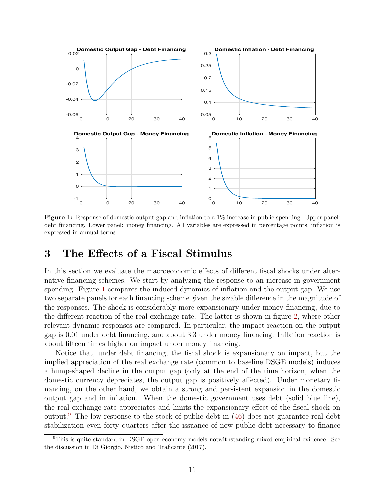<span id="page-12-0"></span>

Figure 1: Response of domestic output gap and inflation to a 1% increase in public spending. Upper panel: debt financing. Lower panel: money financing. All variables are expressed in percentage points, inflation is expressed in annual terms.

## 3 The Effects of a Fiscal Stimulus

In this section we evaluate the macroeconomic effects of different fiscal shocks under alternative financing schemes. We start by analyzing the response to an increase in government spending. Figure [1](#page-12-0) compares the induced dynamics of inflation and the output gap. We use two separate panels for each financing scheme given the sizable difference in the magnitude of the responses. The shock is considerably more expansionary under money financing, due to the different reaction of the real exchange rate. The latter is shown in figure [2,](#page-13-0) where other relevant dynamic responses are compared. In particular, the impact reaction on the output gap is 0.01 under debt financing, and about 3.3 under money financing. Inflation reaction is about fifteen times higher on impact under money financing.

Notice that, under debt financing, the fiscal shock is expansionary on impact, but the implied appreciation of the real exchange rate (common to baseline DSGE models) induces a hump-shaped decline in the output gap (only at the end of the time horizon, when the domestic currency depreciates, the output gap is positively affected). Under monetary financing, on the other hand, we obtain a strong and persistent expansion in the domestic output gap and in inflation. When the domestic government uses debt (solid blue line), the real exchange rate appreciates and limits the expansionary effect of the fiscal shock on output.[9](#page-12-1) The low response to the stock of public debt in [\(46\)](#page-10-1) does not guarantee real debt stabilization even forty quarters after the issuance of new public debt necessary to finance

<span id="page-12-1"></span><sup>&</sup>lt;sup>9</sup>This is quite standard in DSGE open economy models notwithstanding mixed empirical evidence. See the discussion in Di Giorgio, Nisticò and Traficante (2017).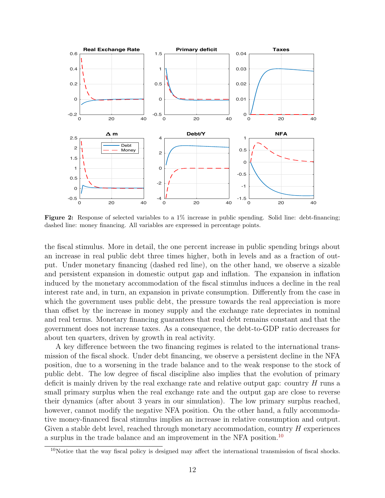<span id="page-13-0"></span>

Figure 2: Response of selected variables to a  $1\%$  increase in public spending. Solid line: debt-financing; dashed line: money financing. All variables are expressed in percentage points.

the fiscal stimulus. More in detail, the one percent increase in public spending brings about an increase in real public debt three times higher, both in levels and as a fraction of output. Under monetary financing (dashed red line), on the other hand, we observe a sizable and persistent expansion in domestic output gap and inflation. The expansion in inflation induced by the monetary accommodation of the fiscal stimulus induces a decline in the real interest rate and, in turn, an expansion in private consumption. Differently from the case in which the government uses public debt, the pressure towards the real appreciation is more than offset by the increase in money supply and the exchange rate depreciates in nominal and real terms. Monetary financing guarantees that real debt remains constant and that the government does not increase taxes. As a consequence, the debt-to-GDP ratio decreases for about ten quarters, driven by growth in real activity.

A key difference between the two financing regimes is related to the international transmission of the fiscal shock. Under debt financing, we observe a persistent decline in the NFA position, due to a worsening in the trade balance and to the weak response to the stock of public debt. The low degree of fiscal discipline also implies that the evolution of primary deficit is mainly driven by the real exchange rate and relative output gap: country  $H$  runs a small primary surplus when the real exchange rate and the output gap are close to reverse their dynamics (after about 3 years in our simulation). The low primary surplus reached, however, cannot modify the negative NFA position. On the other hand, a fully accommodative money-financed fiscal stimulus implies an increase in relative consumption and output. Given a stable debt level, reached through monetary accommodation, country  $H$  experiences a surplus in the trade balance and an improvement in the NFA position.[10](#page-13-1)

<span id="page-13-1"></span> $10$ Notice that the way fiscal policy is designed may affect the international transmission of fiscal shocks.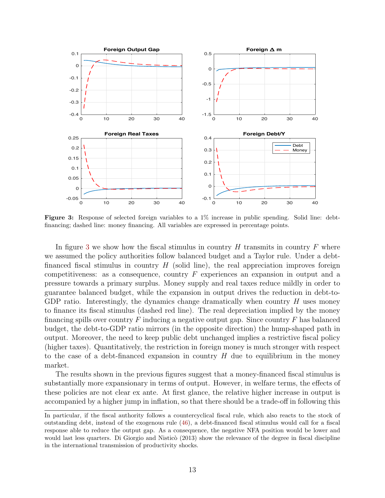<span id="page-14-0"></span>

Figure 3: Response of selected foreign variables to a 1% increase in public spending. Solid line: debtfinancing; dashed line: money financing. All variables are expressed in percentage points.

In figure [3](#page-14-0) we show how the fiscal stimulus in country  $H$  transmits in country  $F$  where we assumed the policy authorities follow balanced budget and a Taylor rule. Under a debtfinanced fiscal stimulus in country  $H$  (solid line), the real appreciation improves foreign competitiveness: as a consequence, country  $F$  experiences an expansion in output and a pressure towards a primary surplus. Money supply and real taxes reduce mildly in order to guarantee balanced budget, while the expansion in output drives the reduction in debt-to-GDP ratio. Interestingly, the dynamics change dramatically when country  $H$  uses money to finance its fiscal stimulus (dashed red line). The real depreciation implied by the money financing spills over country F inducing a negative output gap. Since country F has balanced budget, the debt-to-GDP ratio mirrors (in the opposite direction) the hump-shaped path in output. Moreover, the need to keep public debt unchanged implies a restrictive fiscal policy (higher taxes). Quantitatively, the restriction in foreign money is much stronger with respect to the case of a debt-financed expansion in country  $H$  due to equilibrium in the money market.

The results shown in the previous figures suggest that a money-financed fiscal stimulus is substantially more expansionary in terms of output. However, in welfare terms, the effects of these policies are not clear ex ante. At first glance, the relative higher increase in output is accompanied by a higher jump in inflation, so that there should be a trade-off in following this

In particular, if the fiscal authority follows a countercyclical fiscal rule, which also reacts to the stock of outstanding debt, instead of the exogenous rule [\(46\)](#page-10-1), a debt-financed fiscal stimulus would call for a fiscal response able to reduce the output gap. As a consequence, the negative NFA position would be lower and would last less quarters. Di Giorgio and Nisticò (2013) show the relevance of the degree in fiscal discipline in the international transmission of productivity shocks.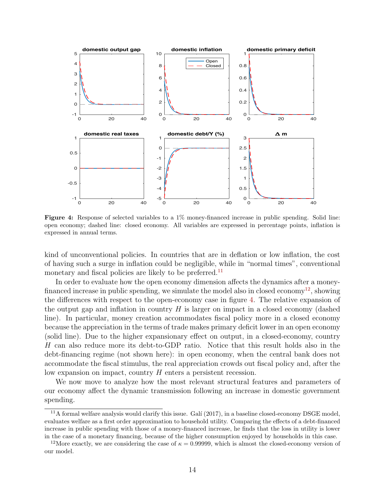<span id="page-15-2"></span>

Figure 4: Response of selected variables to a 1% money-financed increase in public spending. Solid line: open economy; dashed line: closed economy. All variables are expressed in percentage points, inflation is expressed in annual terms.

kind of unconventional policies. In countries that are in deflation or low inflation, the cost of having such a surge in inflation could be negligible, while in "normal times", conventional monetary and fiscal policies are likely to be preferred.<sup>[11](#page-15-0)</sup>

In order to evaluate how the open economy dimension affects the dynamics after a money-financed increase in public spending, we simulate the model also in closed economy<sup>[12](#page-15-1)</sup>, showing the differences with respect to the open-economy case in figure [4.](#page-15-2) The relative expansion of the output gap and inflation in country  $H$  is larger on impact in a closed economy (dashed line). In particular, money creation accommodates fiscal policy more in a closed economy because the appreciation in the terms of trade makes primary deficit lower in an open economy (solid line). Due to the higher expansionary effect on output, in a closed-economy, country H can also reduce more its debt-to-GDP ratio. Notice that this result holds also in the debt-financing regime (not shown here): in open economy, when the central bank does not accommodate the fiscal stimulus, the real appreciation crowds out fiscal policy and, after the low expansion on impact, country H enters a persistent recession.

We now move to analyze how the most relevant structural features and parameters of our economy affect the dynamic transmission following an increase in domestic government spending.

<span id="page-15-0"></span> $11A$  formal welfare analysis would clarify this issue. Galí (2017), in a baseline closed-economy DSGE model, evaluates welfare as a first order approximation to household utility. Comparing the effects of a debt-financed increase in public spending with those of a money-financed increase, he finds that the loss in utility is lower in the case of a monetary financing, because of the higher consumption enjoyed by households in this case.

<span id="page-15-1"></span><sup>&</sup>lt;sup>12</sup>More exactly, we are considering the case of  $\kappa = 0.99999$ , which is almost the closed-economy version of our model.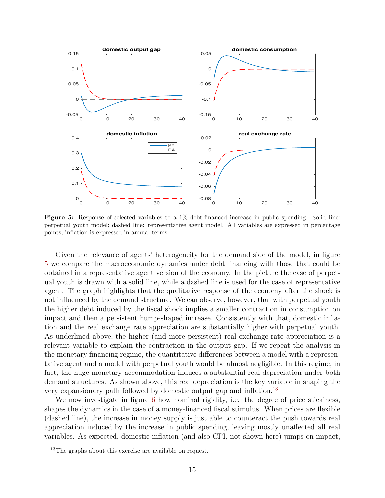<span id="page-16-0"></span>

Figure 5: Response of selected variables to a 1% debt-financed increase in public spending. Solid line: perpetual youth model; dashed line: representative agent model. All variables are expressed in percentage points, inflation is expressed in annual terms.

Given the relevance of agents' heterogeneity for the demand side of the model, in figure [5](#page-16-0) we compare the macroeconomic dynamics under debt financing with those that could be obtained in a representative agent version of the economy. In the picture the case of perpetual youth is drawn with a solid line, while a dashed line is used for the case of representative agent. The graph highlights that the qualitative response of the economy after the shock is not influenced by the demand structure. We can observe, however, that with perpetual youth the higher debt induced by the fiscal shock implies a smaller contraction in consumption on impact and then a persistent hump-shaped increase. Consistently with that, domestic inflation and the real exchange rate appreciation are substantially higher with perpetual youth. As underlined above, the higher (and more persistent) real exchange rate appreciation is a relevant variable to explain the contraction in the output gap. If we repeat the analysis in the monetary financing regime, the quantitative differences between a model with a representative agent and a model with perpetual youth would be almost negligible. In this regime, in fact, the huge monetary accommodation induces a substantial real depreciation under both demand structures. As shown above, this real depreciation is the key variable in shaping the very expansionary path followed by domestic output gap and inflation.<sup>[13](#page-16-1)</sup>

We now investigate in figure [6](#page-17-0) how nominal rigidity, i.e. the degree of price stickiness, shapes the dynamics in the case of a money-financed fiscal stimulus. When prices are flexible (dashed line), the increase in money supply is just able to counteract the push towards real appreciation induced by the increase in public spending, leaving mostly unaffected all real variables. As expected, domestic inflation (and also CPI, not shown here) jumps on impact,

<span id="page-16-1"></span><sup>&</sup>lt;sup>13</sup>The graphs about this exercise are available on request.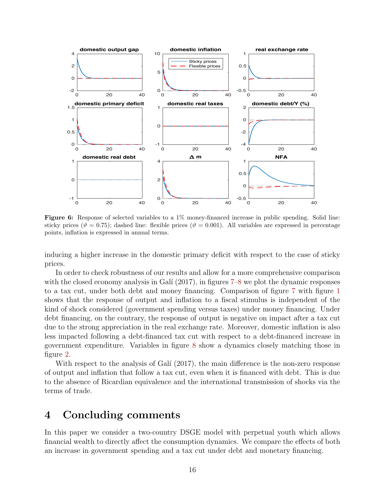<span id="page-17-0"></span>

Figure 6: Response of selected variables to a 1% money-financed increase in public spending. Solid line: sticky prices ( $\vartheta = 0.75$ ); dashed line: flexible prices ( $\vartheta = 0.001$ ). All variables are expressed in percentage points, inflation is expressed in annual terms.

inducing a higher increase in the domestic primary deficit with respect to the case of sticky prices.

In order to check robustness of our results and allow for a more comprehensive comparison with the closed economy analysis in Galí  $(2017)$ , in figures [7–](#page-18-0)[8](#page-19-0) we plot the dynamic responses to a tax cut, under both debt and money financing. Comparison of figure [7](#page-18-0) with figure [1](#page-12-0) shows that the response of output and inflation to a fiscal stimulus is independent of the kind of shock considered (government spending versus taxes) under money financing. Under debt financing, on the contrary, the response of output is negative on impact after a tax cut due to the strong appreciation in the real exchange rate. Moreover, domestic inflation is also less impacted following a debt-financed tax cut with respect to a debt-financed increase in government expenditure. Variables in figure [8](#page-19-0) show a dynamics closely matching those in figure [2.](#page-13-0)

With respect to the analysis of Galí  $(2017)$ , the main difference is the non-zero response of output and inflation that follow a tax cut, even when it is financed with debt. This is due to the absence of Ricardian equivalence and the international transmission of shocks via the terms of trade.

### 4 Concluding comments

In this paper we consider a two-country DSGE model with perpetual youth which allows financial wealth to directly affect the consumption dynamics. We compare the effects of both an increase in government spending and a tax cut under debt and monetary financing.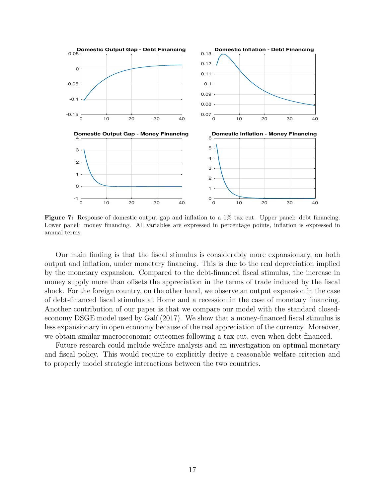<span id="page-18-0"></span>

Figure 7: Response of domestic output gap and inflation to a  $1\%$  tax cut. Upper panel: debt financing. Lower panel: money financing. All variables are expressed in percentage points, inflation is expressed in annual terms.

Our main finding is that the fiscal stimulus is considerably more expansionary, on both output and inflation, under monetary financing. This is due to the real depreciation implied by the monetary expansion. Compared to the debt-financed fiscal stimulus, the increase in money supply more than offsets the appreciation in the terms of trade induced by the fiscal shock. For the foreign country, on the other hand, we observe an output expansion in the case of debt-financed fiscal stimulus at Home and a recession in the case of monetary financing. Another contribution of our paper is that we compare our model with the standard closedeconomy DSGE model used by Galí (2017). We show that a money-financed fiscal stimulus is less expansionary in open economy because of the real appreciation of the currency. Moreover, we obtain similar macroeconomic outcomes following a tax cut, even when debt-financed.

Future research could include welfare analysis and an investigation on optimal monetary and fiscal policy. This would require to explicitly derive a reasonable welfare criterion and to properly model strategic interactions between the two countries.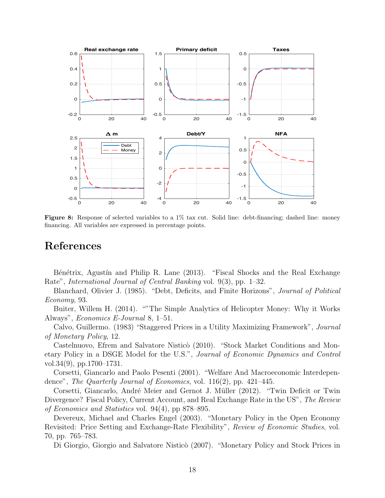<span id="page-19-0"></span>

Figure 8: Response of selected variables to a 1% tax cut. Solid line: debt-financing; dashed line: money financing. All variables are expressed in percentage points.

## References

Bénétrix, Agustín and Philip R. Lane (2013). "Fiscal Shocks and the Real Exchange Rate", International Journal of Central Banking vol. 9(3), pp. 1–32.

Blanchard, Olivier J. (1985). "Debt, Deficits, and Finite Horizons", Journal of Political Economy, 93.

Buiter, Willem H. (2014). ""The Simple Analytics of Helicopter Money: Why it Works Always", Economics E-Journal 8, 1–51.

Calvo, Guillermo. (1983) "Staggered Prices in a Utility Maximizing Framework", Journal of Monetary Policy, 12.

Castelnuovo, Efrem and Salvatore Nisticò (2010). "Stock Market Conditions and Monetary Policy in a DSGE Model for the U.S.", Journal of Economic Dynamics and Control vol.34(9), pp.1700–1731.

Corsetti, Giancarlo and Paolo Pesenti (2001). "Welfare And Macroeconomic Interdependence", *The Quarterly Journal of Economics*, vol. 116(2), pp. 421–445.

Corsetti, Giancarlo, André Meier and Gernot J. Müller (2012). "Twin Deficit or Twin Divergence? Fiscal Policy, Current Account, and Real Exchange Rate in the US", The Review of Economics and Statistics vol. 94(4), pp 878–895.

Devereux, Michael and Charles Engel (2003). "Monetary Policy in the Open Economy Revisited: Price Setting and Exchange-Rate Flexibility", Review of Economic Studies, vol. 70, pp. 765–783.

Di Giorgio, Giorgio and Salvatore Nisticò (2007). "Monetary Policy and Stock Prices in